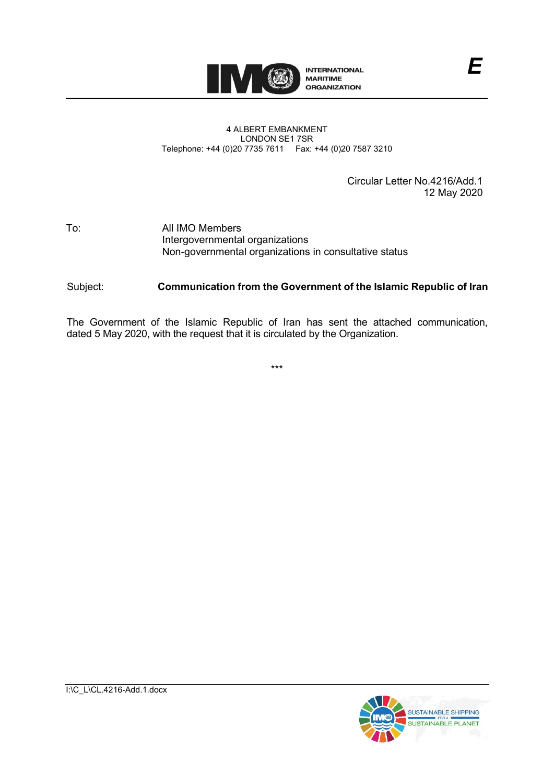

## 4 ALBERT EMBANKMENT LONDON SE1 7SR Telephone: +44 (0)20 7735 7611 Fax: +44 (0)20 7587 3210

Circular Letter No.4216/Add.1 12 May 2020

## To: All IMO Members Intergovernmental organizations Non-governmental organizations in consultative status

## Subject: **Communication from the Government of the Islamic Republic of Iran**

The Government of the Islamic Republic of Iran has sent the attached communication, dated 5 May 2020, with the request that it is circulated by the Organization.

\*\*\*

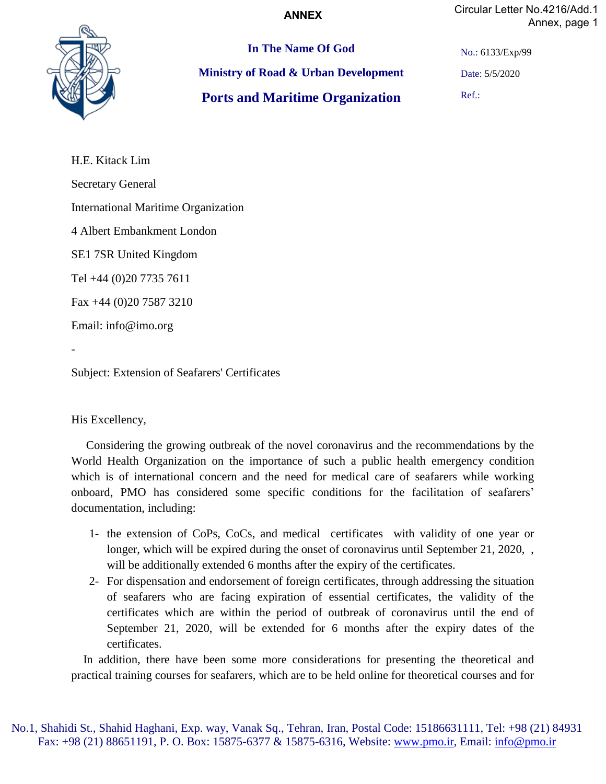**ANNEX**

Circular Letter No.4216/Add.1 Annex, page 1



**In The Name Of God Ministry of Road & Urban Development Ports and Maritime Organization**

No.: 6133/Exp/99

Date: 5/5/2020

Ref.:

H.E. Kitack Lim Secretary General International Maritime Organization 4 Albert Embankment London SE1 7SR United Kingdom Tel +44 (0)20 7735 7611 Fax +44 (0)20 7587 3210 Email: info@imo.org -

Subject: Extension of Seafarers' Certificates

His Excellency,

 Considering the growing outbreak of the novel coronavirus and the recommendations by the World Health Organization on the importance of such a public health emergency condition which is of international concern and the need for medical care of seafarers while working onboard, PMO has considered some specific conditions for the facilitation of seafarers' documentation, including:

- 1- the extension of CoPs, CoCs, and medical certificates with validity of one year or longer, which will be expired during the onset of coronavirus until September 21, 2020, will be additionally extended 6 months after the expiry of the certificates.
- 2- For dispensation and endorsement of foreign certificates, through addressing the situation of seafarers who are facing expiration of essential certificates, the validity of the certificates which are within the period of outbreak of coronavirus until the end of September 21, 2020, will be extended for 6 months after the expiry dates of the certificates.

 In addition, there have been some more considerations for presenting the theoretical and practical training courses for seafarers, which are to be held online for theoretical courses and for